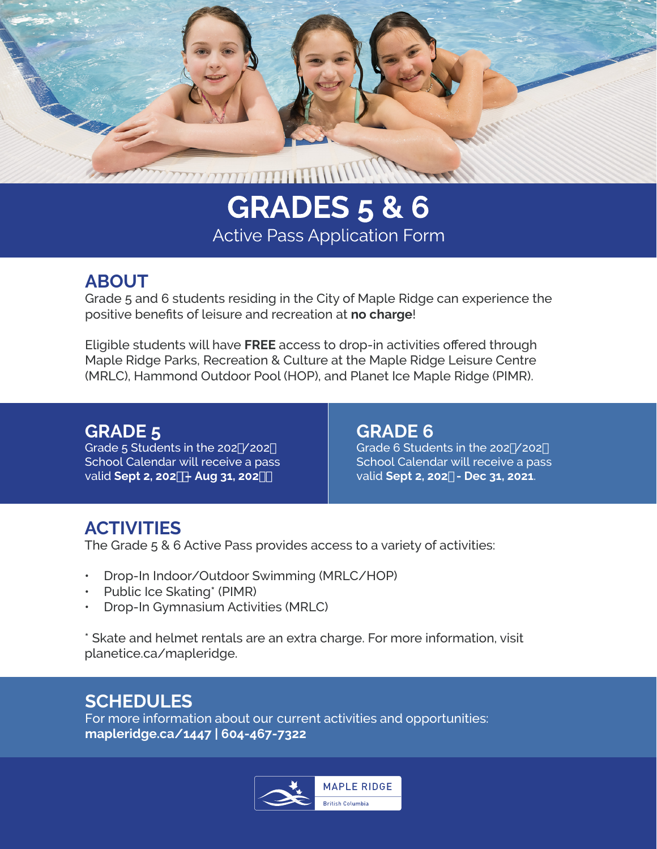

# **GRADES 5 & 6 Active Pass Application Form**

## **ABOUT**

Grade 5 and 6 students residing in the City of Maple Ridge can experience the positive benefits of leisure and recreation at **no charge**!

Eligible students will have **FREE** access to drop-in activities offered through Maple Ridge Parks, Recreation & Culture at the Maple Ridge Leisure Centre (MRLC), Hammond Outdoor Pool (HOP), and Planet Ice Maple Ridge (PIMR).

## **GRADE 5**

Grade  $5$  Students in the 202'  $/202($ School Calendar will receive a pass valid **Sept 2, 202– Aug 31, 202**

#### **GRADE 6**

Grade 6 Students in the 202' / 202( School Calendar will receive a pass valid **Sept 2, 202 - Dec 31, 2021**.

# **ACTIVITIES**

The Grade 5 & 6 Active Pass provides access to a variety of activities:

- Drop-In Indoor/Outdoor Swimming (MRLC/HOP)
- Public Ice Skating\* (PIMR)
- Drop-In Gymnasium Activities (MRLC)

\* Skate and helmet rentals are an extra charge. For more information, visit planetice.ca/mapleridge.

# **SCHEDULES**

For more information about our current activities and opportunities: **[mapleridge.ca/14](www.mapleridge.ca/1447)47 | 604-467-7322**